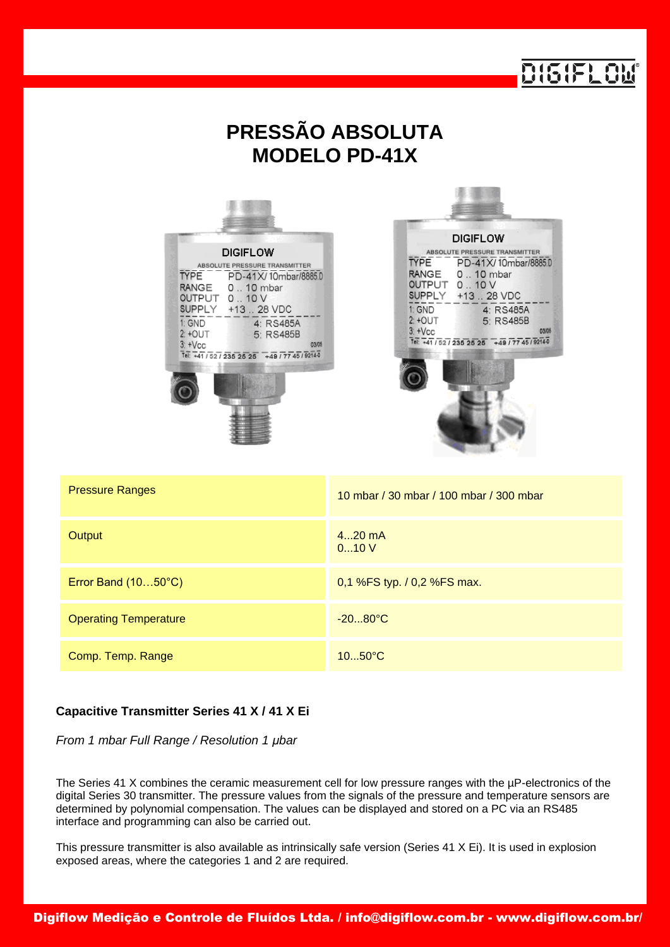|                                                                                                                                                                                                                                                                              | 0151FL0                                                                                                                                                                                                                                                                    |  |  |  |  |
|------------------------------------------------------------------------------------------------------------------------------------------------------------------------------------------------------------------------------------------------------------------------------|----------------------------------------------------------------------------------------------------------------------------------------------------------------------------------------------------------------------------------------------------------------------------|--|--|--|--|
| <b>PRESSÃO ABSOLUTA</b><br><b>MODELO PD-41X</b>                                                                                                                                                                                                                              |                                                                                                                                                                                                                                                                            |  |  |  |  |
| <b>DIGIFLOW</b><br>ABSOLUTE PRESSURE TRANSMITTER<br><b>TYPE</b><br>PD-41X/10mbar/8885.0<br>0  10 mbar<br><b>RANGE</b><br>OUTPUT 010 V<br>SUPPLY +13  28 VDC<br>1: GND<br>4: RS485A<br>$2: +$ OUT<br>5: RS485B<br>$3: +Vec$<br>03/05<br>Tel: +41/52/235 25 25 +49/77 45/92140 | <b>DIGIFLOW</b><br>ABSOLUTE PRESSURE TRANSMITTER<br><b>TYPE</b><br>PD-41X/10mbar/8885.D<br><b>RANGE</b><br>0  10 mbar<br>OUTPUT 010 V<br>SUPPLY +13  28 VDC<br>1: GND<br>4: RS485A<br>$2:+OUT$<br>5: RS485B<br>$3: +Vec$<br>03/05<br>Tel: +41/52/235 25 25 +49/77 45/92140 |  |  |  |  |
| <b>Pressure Ranges</b>                                                                                                                                                                                                                                                       | 10 mbar / 30 mbar / 100 mbar / 300 mbar                                                                                                                                                                                                                                    |  |  |  |  |
| Output                                                                                                                                                                                                                                                                       | 420 mA<br>010V                                                                                                                                                                                                                                                             |  |  |  |  |
| Error Band (1050°C)                                                                                                                                                                                                                                                          | 0,1 %FS typ. / 0,2 %FS max.                                                                                                                                                                                                                                                |  |  |  |  |
| <b>Operating Temperature</b>                                                                                                                                                                                                                                                 | $-2080^{\circ}C$                                                                                                                                                                                                                                                           |  |  |  |  |
| Comp. Temp. Range                                                                                                                                                                                                                                                            | 1050°C                                                                                                                                                                                                                                                                     |  |  |  |  |

## **Capacitive Transmitter Series 41 X / 41 X Ei**

*From 1 mbar Full Range / Resolution 1 μbar*

The Series 41 X combines the ceramic measurement cell for low pressure ranges with the µP-electronics of the digital Series 30 transmitter. The pressure values from the signals of the pressure and temperature sensors are determined by polynomial compensation. The values can be displayed and stored on a PC via an RS485 interface and programming can also be carried out.

This pressure transmitter is also available as intrinsically safe version (Series 41 X Ei). It is used in explosion exposed areas, where the categories 1 and 2 are required.